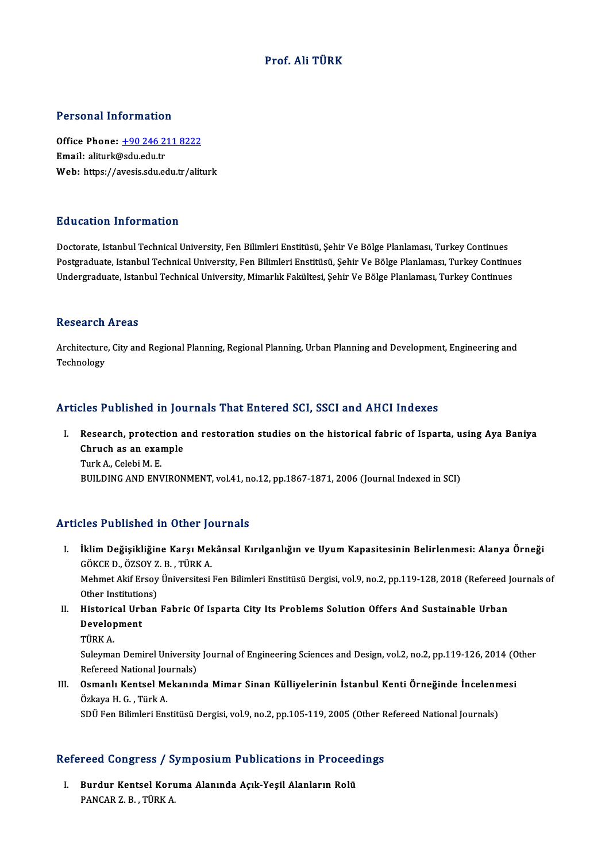# Prof. Ali TÜRK

### Personal Information

Personal Information<br>Office Phone: <u>+90 246 211 8222</u><br>Email: aliturk@sdu.edu.tr office Phone: <u>+90 246 2</u><br>Email: aliturk@sdu.edu.tr<br>Web: https://avesis.edu.co Email: aliturk@sdu.edu.tr<br>Web: https://a[vesis.sdu.edu.tr/alit](tel:+90 246 211 8222)urk

## Education Information

Doctorate, Istanbul Technical University, Fen Bilimleri Enstitüsü, Şehir Ve Bölge Planlaması, Turkey Continues Puususeen Timor inuston<br>Doctorate, Istanbul Technical University, Fen Bilimleri Enstitüsü, Şehir Ve Bölge Planlaması, Turkey Continues<br>Undergraduate, Istanbul Technical University, Fen Bilimleri Enstitüsü, Şehir Ve Bölge P Doctorate, Istanbul Technical University, Fen Bilimleri Enstitüsü, Şehir Ve Bölge Planlaması, Turkey Continues<br>Postgraduate, Istanbul Technical University, Fen Bilimleri Enstitüsü, Şehir Ve Bölge Planlaması, Turkey Continu Undergraduate, Istanbul Technical University, Mimarlık Fakültesi, Şehir Ve Bölge Planlaması, Turkey Continues<br>Research Areas

Architecture, City and Regional Planning, Regional Planning, Urban Planning and Development, Engineering and Technology

# Articles Published in Journals That Entered SCI, SSCI and AHCI Indexes

rticles Published in Journals That Entered SCI, SSCI and AHCI Indexes<br>I. Research, protection and restoration studies on the historical fabric of Isparta, using Aya Baniya<br>Chuuch as an avample Research, protection a<br>Chruch as an example<br>Turk A. Colobi M. E Research, protect<br>Chruch as an exal<br>Turk A., Celebi M. E.<br>PUIU DINC AND ENI Chruch as an example<br>Turk A., Celebi M. E.<br>BUILDING AND ENVIRONMENT, vol.41, no.12, pp.1867-1871, 2006 (Journal Indexed in SCI)

# Articles Published in Other Journals

- rticles Published in Other Journals<br>I. İklim Değişikliğine Karşı Mekânsal Kırılganlığın ve Uyum Kapasitesinin Belirlenmesi: Alanya Örneği<br>CÖKCE D. ÖZSOVZ B. TÜRKA iklim Değişikliğine Karşı Mel<br>GÖKCE D., ÖZSOY Z. B. , TÜRK A.<br>Mehmet Alif Encou Üniversitesi Mehmet Akif Ersoy Üniversitesi Fen Bilimleri Enstitüsü Dergisi, vol.9, no.2, pp.119-128, 2018 (Refereed Journals of<br>Other Institutions) GÖKCE D., ÖZSOY Z. B., TÜRK A. Mehmet Akif Ersoy Üniversitesi Fen Bilimleri Enstitüsü Dergisi, vol.9, no.2, pp.119-128, 2018 (Refereed ]<br>Other Institutions)<br>II. Historical Urban Fabric Of Isparta City Its Problems Solution Offers And Sustainable Urban<br>D
- Other Institutio<br>Historical Urb<br>Development<br>Tüpk A Historic<br>Develop<br>TÜRK A.<br>Sularma

Development<br>TÜRK A.<br>Suleyman Demirel University Journal of Engineering Sciences and Design, vol.2, no.2, pp.119-126, 2014 (Other<br>Refereed National Journals) TÜRK A.<br>Suleyman Demirel University<br>Refereed National Journals)<br>Osmanlı Kantsel Makanın Suleyman Demirel University Journal of Engineering Sciences and Design, vol.2, no.2, pp.119-126, 2014 (O<br>Refereed National Journals)<br>III. Osmanlı Kentsel Mekanında Mimar Sinan Külliyelerinin İstanbul Kenti Örneğinde İncele

Refereed National Jou<br>**Osmanlı Kentsel Me**<br>Özkaya H. G. , Türk A.<br>SDÜ Fon Bilimlori Enc Osmanlı Kentsel Mekanında Mimar Sinan Külliyelerinin İstanbul Kenti Örneğinde İncelenn<br>Özkaya H. G. , Türk A.<br>SDÜ Fen Bilimleri Enstitüsü Dergisi, vol.9, no.2, pp.105-119, 2005 (Other Refereed National Journals)

# sporten Billmeri Ensulusu Dergisi, vol.9, no.2, pp.105-119, 2005 (Other R<br>Refereed Congress / Symposium Publications in Proceedings

efereed Congress / Symposium Publications in Proceed<br>I. Burdur Kentsel Koruma Alanında Açık-Yeşil Alanların Rolü<br>RANGAR 7 B. TÜRKA I. Burdur Kentsel Koruma Alanında Açık-Yeşil Alanların Rolü<br>PANCAR Z.B., TÜRK A.